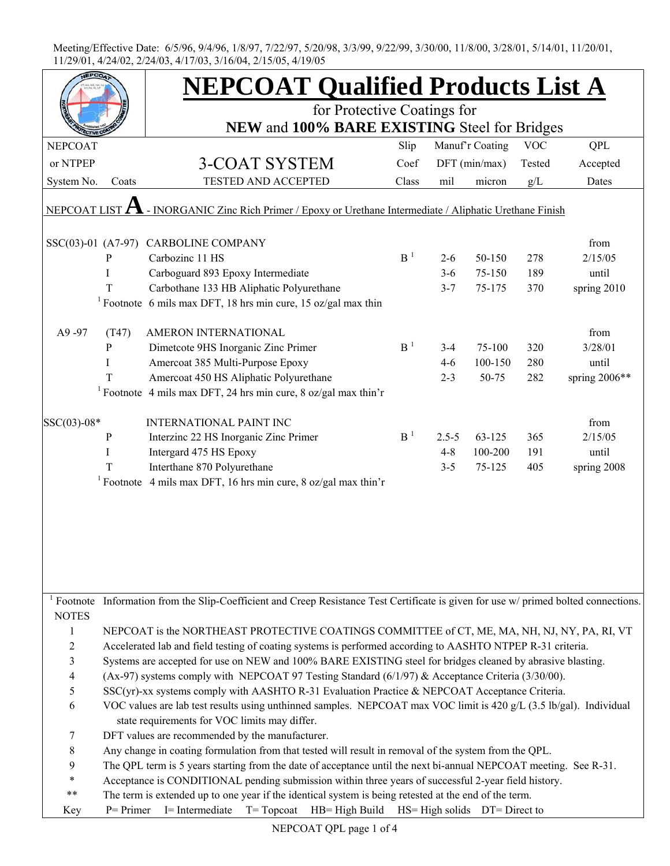|                                                                                                           |                                                                                                                    | <b>NEPCOAT Qualified Products List A</b><br>for Protective Coatings for                                                    |                |               |                 |            |               |  |  |  |
|-----------------------------------------------------------------------------------------------------------|--------------------------------------------------------------------------------------------------------------------|----------------------------------------------------------------------------------------------------------------------------|----------------|---------------|-----------------|------------|---------------|--|--|--|
|                                                                                                           |                                                                                                                    |                                                                                                                            |                |               |                 |            |               |  |  |  |
| <b>NEPCOAT</b>                                                                                            |                                                                                                                    |                                                                                                                            | Slip           |               | Manuf'r Coating | <b>VOC</b> | QPL           |  |  |  |
| or NTPEP                                                                                                  |                                                                                                                    | 3-COAT SYSTEM                                                                                                              | Coef           | DFT (min/max) |                 | Tested     | Accepted      |  |  |  |
| System No.                                                                                                | Coats                                                                                                              | TESTED AND ACCEPTED                                                                                                        | Class          | mil           | micron          | g/L        | Dates         |  |  |  |
| - INORGANIC Zinc Rich Primer / Epoxy or Urethane Intermediate / Aliphatic Urethane Finish<br>NEPCOAT LIST |                                                                                                                    |                                                                                                                            |                |               |                 |            |               |  |  |  |
|                                                                                                           |                                                                                                                    |                                                                                                                            |                |               |                 |            |               |  |  |  |
|                                                                                                           |                                                                                                                    | SSC(03)-01 (A7-97) CARBOLINE COMPANY                                                                                       |                |               |                 |            | from          |  |  |  |
|                                                                                                           | P                                                                                                                  | Carbozinc 11 HS                                                                                                            | B <sup>1</sup> | $2 - 6$       | 50-150          | 278        | 2/15/05       |  |  |  |
|                                                                                                           | I                                                                                                                  | Carboguard 893 Epoxy Intermediate                                                                                          |                | $3-6$         | 75-150          | 189        | until         |  |  |  |
|                                                                                                           | T                                                                                                                  | Carbothane 133 HB Aliphatic Polyurethane                                                                                   |                | $3 - 7$       | 75-175          | 370        | spring 2010   |  |  |  |
|                                                                                                           |                                                                                                                    | <sup>1</sup> Footnote 6 mils max DFT, 18 hrs min cure, 15 oz/gal max thin                                                  |                |               |                 |            |               |  |  |  |
|                                                                                                           |                                                                                                                    |                                                                                                                            |                |               |                 |            |               |  |  |  |
| A9-97                                                                                                     | (T47)                                                                                                              | AMERON INTERNATIONAL                                                                                                       |                |               |                 |            | from          |  |  |  |
|                                                                                                           | P                                                                                                                  | Dimetcote 9HS Inorganic Zinc Primer                                                                                        | B <sup>1</sup> | $3 - 4$       | 75-100          | 320        | 3/28/01       |  |  |  |
|                                                                                                           | I                                                                                                                  | Amercoat 385 Multi-Purpose Epoxy                                                                                           |                | $4 - 6$       | 100-150         | 280        | until         |  |  |  |
|                                                                                                           | T                                                                                                                  | Amercoat 450 HS Aliphatic Polyurethane                                                                                     |                | $2 - 3$       | 50-75           | 282        | spring 2006** |  |  |  |
|                                                                                                           |                                                                                                                    | <sup>1</sup> Footnote 4 mils max DFT, 24 hrs min cure, 8 oz/gal max thin'r                                                 |                |               |                 |            |               |  |  |  |
|                                                                                                           |                                                                                                                    |                                                                                                                            |                |               |                 |            |               |  |  |  |
| $SSC(03)-08*$                                                                                             |                                                                                                                    | <b>INTERNATIONAL PAINT INC</b>                                                                                             |                |               |                 |            | from          |  |  |  |
|                                                                                                           | ${\bf P}$                                                                                                          | Interzinc 22 HS Inorganic Zinc Primer                                                                                      | B <sup>1</sup> | $2.5 - 5$     | 63-125          | 365        | 2/15/05       |  |  |  |
|                                                                                                           | Ι                                                                                                                  | Intergard 475 HS Epoxy                                                                                                     |                | $4 - 8$       | 100-200         | 191        | until         |  |  |  |
|                                                                                                           | T                                                                                                                  | Interthane 870 Polyurethane                                                                                                |                | $3 - 5$       | 75-125          | 405        | spring 2008   |  |  |  |
|                                                                                                           |                                                                                                                    | <sup>1</sup> Footnote 4 mils max DFT, 16 hrs min cure, 8 oz/gal max thin'r                                                 |                |               |                 |            |               |  |  |  |
|                                                                                                           |                                                                                                                    |                                                                                                                            |                |               |                 |            |               |  |  |  |
|                                                                                                           |                                                                                                                    |                                                                                                                            |                |               |                 |            |               |  |  |  |
|                                                                                                           |                                                                                                                    |                                                                                                                            |                |               |                 |            |               |  |  |  |
|                                                                                                           |                                                                                                                    |                                                                                                                            |                |               |                 |            |               |  |  |  |
|                                                                                                           |                                                                                                                    |                                                                                                                            |                |               |                 |            |               |  |  |  |
|                                                                                                           |                                                                                                                    |                                                                                                                            |                |               |                 |            |               |  |  |  |
|                                                                                                           |                                                                                                                    |                                                                                                                            |                |               |                 |            |               |  |  |  |
| Footnote                                                                                                  |                                                                                                                    | Information from the Slip-Coefficient and Creep Resistance Test Certificate is given for use w/ primed bolted connections. |                |               |                 |            |               |  |  |  |
| <b>NOTES</b>                                                                                              |                                                                                                                    |                                                                                                                            |                |               |                 |            |               |  |  |  |
| $\mathbf{1}$                                                                                              | NEPCOAT is the NORTHEAST PROTECTIVE COATINGS COMMITTEE of CT, ME, MA, NH, NJ, NY, PA, RI, VT                       |                                                                                                                            |                |               |                 |            |               |  |  |  |
| $\overline{c}$                                                                                            | Accelerated lab and field testing of coating systems is performed according to AASHTO NTPEP R-31 criteria.         |                                                                                                                            |                |               |                 |            |               |  |  |  |
| $\overline{\mathbf{3}}$                                                                                   | Systems are accepted for use on NEW and 100% BARE EXISTING steel for bridges cleaned by abrasive blasting.         |                                                                                                                            |                |               |                 |            |               |  |  |  |
| $\overline{4}$                                                                                            | (Ax-97) systems comply with NEPCOAT 97 Testing Standard (6/1/97) & Acceptance Criteria (3/30/00).                  |                                                                                                                            |                |               |                 |            |               |  |  |  |
| 5                                                                                                         | SSC(yr)-xx systems comply with AASHTO R-31 Evaluation Practice & NEPCOAT Acceptance Criteria.                      |                                                                                                                            |                |               |                 |            |               |  |  |  |
| 6                                                                                                         | VOC values are lab test results using unthinned samples. NEPCOAT max VOC limit is 420 g/L (3.5 lb/gal). Individual |                                                                                                                            |                |               |                 |            |               |  |  |  |
|                                                                                                           | state requirements for VOC limits may differ.                                                                      |                                                                                                                            |                |               |                 |            |               |  |  |  |
| 7                                                                                                         | DFT values are recommended by the manufacturer.                                                                    |                                                                                                                            |                |               |                 |            |               |  |  |  |
| 8                                                                                                         | Any change in coating formulation from that tested will result in removal of the system from the QPL.              |                                                                                                                            |                |               |                 |            |               |  |  |  |
| 9                                                                                                         | The QPL term is 5 years starting from the date of acceptance until the next bi-annual NEPCOAT meeting. See R-31.   |                                                                                                                            |                |               |                 |            |               |  |  |  |
| $\ast$                                                                                                    | Acceptance is CONDITIONAL pending submission within three years of successful 2-year field history.                |                                                                                                                            |                |               |                 |            |               |  |  |  |
| $***$                                                                                                     | The term is extended up to one year if the identical system is being retested at the end of the term.              |                                                                                                                            |                |               |                 |            |               |  |  |  |
| Key                                                                                                       | $P = Primer$                                                                                                       | I= Intermediate<br>T= Topcoat HB= High Build HS= High solids DT= Direct to                                                 |                |               |                 |            |               |  |  |  |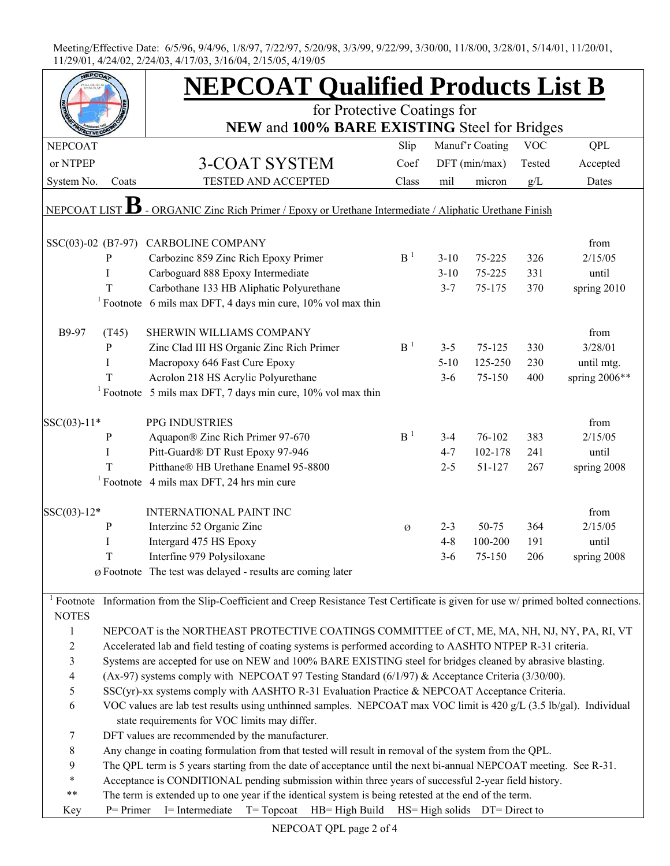|                          |                                                                                                                    | <b>NEPCOAT Qualified Products List B</b>                                                                                                         |                |          |                 |            |                 |  |  |  |
|--------------------------|--------------------------------------------------------------------------------------------------------------------|--------------------------------------------------------------------------------------------------------------------------------------------------|----------------|----------|-----------------|------------|-----------------|--|--|--|
|                          |                                                                                                                    | for Protective Coatings for                                                                                                                      |                |          |                 |            |                 |  |  |  |
|                          |                                                                                                                    | NEW and 100% BARE EXISTING Steel for Bridges                                                                                                     |                |          |                 |            |                 |  |  |  |
| <b>NEPCOAT</b>           |                                                                                                                    |                                                                                                                                                  | Slip           |          | Manuf'r Coating | <b>VOC</b> | QPL             |  |  |  |
| or NTPEP                 |                                                                                                                    | <b>3-COAT SYSTEM</b>                                                                                                                             | Coef           |          | DFT (min/max)   | Tested     | Accepted        |  |  |  |
| System No.               | Coats                                                                                                              | <b>TESTED AND ACCEPTED</b>                                                                                                                       | Class          | mil      | micron          | g/L        | Dates           |  |  |  |
| NEPCOAT LIST             |                                                                                                                    | - ORGANIC Zinc Rich Primer / Epoxy or Urethane Intermediate / Aliphatic Urethane Finish                                                          |                |          |                 |            |                 |  |  |  |
| SSC(03)-02 (B7-97)       |                                                                                                                    | <b>CARBOLINE COMPANY</b>                                                                                                                         |                |          |                 |            | from            |  |  |  |
|                          | P                                                                                                                  | Carbozinc 859 Zinc Rich Epoxy Primer                                                                                                             | B <sup>1</sup> | $3 - 10$ | 75-225          | 326        | 2/15/05         |  |  |  |
|                          | I                                                                                                                  | Carboguard 888 Epoxy Intermediate                                                                                                                |                | $3 - 10$ | 75-225          | 331        | until           |  |  |  |
|                          | T                                                                                                                  | Carbothane 133 HB Aliphatic Polyurethane                                                                                                         |                | $3 - 7$  | 75-175          | 370        | spring 2010     |  |  |  |
|                          |                                                                                                                    | <sup>1</sup> Footnote 6 mils max DFT, 4 days min cure, 10% vol max thin                                                                          |                |          |                 |            |                 |  |  |  |
| B9-97                    | (T45)                                                                                                              | SHERWIN WILLIAMS COMPANY                                                                                                                         |                |          |                 |            | from            |  |  |  |
|                          | P                                                                                                                  | Zinc Clad III HS Organic Zinc Rich Primer                                                                                                        | B <sup>1</sup> | $3 - 5$  | $75 - 125$      | 330        | 3/28/01         |  |  |  |
|                          | I                                                                                                                  | Macropoxy 646 Fast Cure Epoxy                                                                                                                    |                | $5 - 10$ | 125-250         | 230        | until mtg.      |  |  |  |
|                          | T                                                                                                                  | Acrolon 218 HS Acrylic Polyurethane                                                                                                              |                | $3-6$    | 75-150          | 400        | spring $2006**$ |  |  |  |
|                          |                                                                                                                    | <sup>1</sup> Footnote 5 mils max DFT, 7 days min cure, $10\%$ vol max thin                                                                       |                |          |                 |            |                 |  |  |  |
|                          |                                                                                                                    |                                                                                                                                                  |                |          |                 |            |                 |  |  |  |
| $SSC(03)-11*$            |                                                                                                                    | PPG INDUSTRIES                                                                                                                                   |                |          |                 |            | from            |  |  |  |
|                          | $\mathbf{P}$                                                                                                       | Aquapon® Zinc Rich Primer 97-670                                                                                                                 | B <sup>1</sup> | $3-4$    | 76-102          | 383        | 2/15/05         |  |  |  |
|                          | I                                                                                                                  | Pitt-Guard® DT Rust Epoxy 97-946                                                                                                                 |                | $4 - 7$  | 102-178         | 241        | until           |  |  |  |
|                          | T                                                                                                                  | Pitthane® HB Urethane Enamel 95-8800                                                                                                             |                | $2 - 5$  | 51-127          | 267        | spring 2008     |  |  |  |
|                          |                                                                                                                    | $1$ Footnote 4 mils max DFT, 24 hrs min cure                                                                                                     |                |          |                 |            |                 |  |  |  |
| $SSC(03)-12*$            |                                                                                                                    | <b>INTERNATIONAL PAINT INC</b>                                                                                                                   |                |          |                 |            | from            |  |  |  |
|                          | P                                                                                                                  | Interzinc 52 Organic Zinc                                                                                                                        | Ø              | $2 - 3$  | 50-75           | 364        | 2/15/05         |  |  |  |
|                          | I                                                                                                                  | Intergard 475 HS Epoxy                                                                                                                           |                | $4 - 8$  | 100-200         | 191        | until           |  |  |  |
|                          | T                                                                                                                  | Interfine 979 Polysiloxane                                                                                                                       |                | $3-6$    | 75-150          | 206        | spring 2008     |  |  |  |
|                          |                                                                                                                    | $\varnothing$ Footnote The test was delayed - results are coming later                                                                           |                |          |                 |            |                 |  |  |  |
| <b>NOTES</b>             |                                                                                                                    | <sup>1</sup> Footnote Information from the Slip-Coefficient and Creep Resistance Test Certificate is given for use w/ primed bolted connections. |                |          |                 |            |                 |  |  |  |
| $\mathbf{1}$             |                                                                                                                    | NEPCOAT is the NORTHEAST PROTECTIVE COATINGS COMMITTEE of CT, ME, MA, NH, NJ, NY, PA, RI, VT                                                     |                |          |                 |            |                 |  |  |  |
| $\overline{c}$           | Accelerated lab and field testing of coating systems is performed according to AASHTO NTPEP R-31 criteria.         |                                                                                                                                                  |                |          |                 |            |                 |  |  |  |
| 3                        | Systems are accepted for use on NEW and 100% BARE EXISTING steel for bridges cleaned by abrasive blasting.         |                                                                                                                                                  |                |          |                 |            |                 |  |  |  |
| $\overline{\mathcal{L}}$ | (Ax-97) systems comply with NEPCOAT 97 Testing Standard (6/1/97) & Acceptance Criteria (3/30/00).                  |                                                                                                                                                  |                |          |                 |            |                 |  |  |  |
| 5                        | SSC(yr)-xx systems comply with AASHTO R-31 Evaluation Practice & NEPCOAT Acceptance Criteria.                      |                                                                                                                                                  |                |          |                 |            |                 |  |  |  |
| 6                        | VOC values are lab test results using unthinned samples. NEPCOAT max VOC limit is 420 g/L (3.5 lb/gal). Individual |                                                                                                                                                  |                |          |                 |            |                 |  |  |  |
|                          | state requirements for VOC limits may differ.                                                                      |                                                                                                                                                  |                |          |                 |            |                 |  |  |  |
| 7                        | DFT values are recommended by the manufacturer.                                                                    |                                                                                                                                                  |                |          |                 |            |                 |  |  |  |
| 8                        | Any change in coating formulation from that tested will result in removal of the system from the QPL.              |                                                                                                                                                  |                |          |                 |            |                 |  |  |  |
| 9                        | The QPL term is 5 years starting from the date of acceptance until the next bi-annual NEPCOAT meeting. See R-31.   |                                                                                                                                                  |                |          |                 |            |                 |  |  |  |
| $\ast$                   | Acceptance is CONDITIONAL pending submission within three years of successful 2-year field history.                |                                                                                                                                                  |                |          |                 |            |                 |  |  |  |
| $***$                    | The term is extended up to one year if the identical system is being retested at the end of the term.              |                                                                                                                                                  |                |          |                 |            |                 |  |  |  |
| Key                      | T= Topcoat HB= High Build HS= High solids DT= Direct to<br>$P = Primer$<br>I= Intermediate                         |                                                                                                                                                  |                |          |                 |            |                 |  |  |  |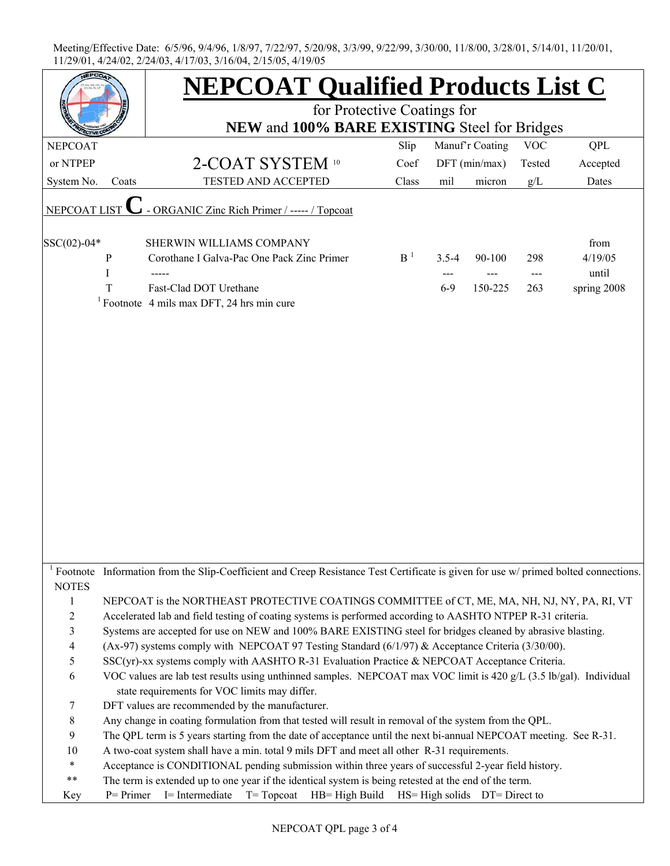|                                |                                                                                                                                                                                                                 | <b>NEPCOAT Qualified Products List C</b><br>for Protective Coatings for<br>NEW and 100% BARE EXISTING Steel for Bridges    |                |           |                                     |            |             |  |  |  |
|--------------------------------|-----------------------------------------------------------------------------------------------------------------------------------------------------------------------------------------------------------------|----------------------------------------------------------------------------------------------------------------------------|----------------|-----------|-------------------------------------|------------|-------------|--|--|--|
|                                |                                                                                                                                                                                                                 |                                                                                                                            |                |           |                                     |            |             |  |  |  |
| <b>NEPCOAT</b>                 |                                                                                                                                                                                                                 |                                                                                                                            | Slip           |           | Manuf'r Coating                     | <b>VOC</b> | <b>QPL</b>  |  |  |  |
| or NTPEP                       |                                                                                                                                                                                                                 | 2-COAT SYSTEM 10                                                                                                           | Coef           |           | $DFT$ (min/max)                     | Tested     | Accepted    |  |  |  |
| System No.                     | Coats                                                                                                                                                                                                           | TESTED AND ACCEPTED                                                                                                        | Class          | mil       | micron                              | g/L        | Dates       |  |  |  |
| NEPCOAT LIST                   |                                                                                                                                                                                                                 | - ORGANIC Zinc Rich Primer / ----- / Topcoat                                                                               |                |           |                                     |            |             |  |  |  |
| $SSC(02)-04*$                  |                                                                                                                                                                                                                 | SHERWIN WILLIAMS COMPANY                                                                                                   |                |           |                                     |            | from        |  |  |  |
|                                | P                                                                                                                                                                                                               | Corothane I Galva-Pac One Pack Zinc Primer                                                                                 | B <sup>1</sup> | $3.5 - 4$ | 90-100                              | 298        | 4/19/05     |  |  |  |
|                                | I                                                                                                                                                                                                               |                                                                                                                            |                |           |                                     | ---        | until       |  |  |  |
|                                | T                                                                                                                                                                                                               | Fast-Clad DOT Urethane                                                                                                     |                | $6-9$     | 150-225                             | 263        | spring 2008 |  |  |  |
|                                |                                                                                                                                                                                                                 | <sup>1</sup> Footnote 4 mils max DFT, 24 hrs min cure                                                                      |                |           |                                     |            |             |  |  |  |
|                                |                                                                                                                                                                                                                 |                                                                                                                            |                |           |                                     |            |             |  |  |  |
| $1$ Footnote                   |                                                                                                                                                                                                                 | Information from the Slip-Coefficient and Creep Resistance Test Certificate is given for use w/ primed bolted connections. |                |           |                                     |            |             |  |  |  |
| <b>NOTES</b>                   |                                                                                                                                                                                                                 |                                                                                                                            |                |           |                                     |            |             |  |  |  |
| $\mathbf{1}$<br>$\overline{c}$ | NEPCOAT is the NORTHEAST PROTECTIVE COATINGS COMMITTEE of CT, ME, MA, NH, NJ, NY, PA, RI, VT                                                                                                                    |                                                                                                                            |                |           |                                     |            |             |  |  |  |
| 3                              | Accelerated lab and field testing of coating systems is performed according to AASHTO NTPEP R-31 criteria.                                                                                                      |                                                                                                                            |                |           |                                     |            |             |  |  |  |
| 4                              | Systems are accepted for use on NEW and 100% BARE EXISTING steel for bridges cleaned by abrasive blasting.<br>(Ax-97) systems comply with NEPCOAT 97 Testing Standard (6/1/97) & Acceptance Criteria (3/30/00). |                                                                                                                            |                |           |                                     |            |             |  |  |  |
| 5                              | SSC(yr)-xx systems comply with AASHTO R-31 Evaluation Practice & NEPCOAT Acceptance Criteria.                                                                                                                   |                                                                                                                            |                |           |                                     |            |             |  |  |  |
| 6                              | VOC values are lab test results using unthinned samples. NEPCOAT max VOC limit is 420 g/L (3.5 lb/gal). Individual                                                                                              |                                                                                                                            |                |           |                                     |            |             |  |  |  |
|                                | state requirements for VOC limits may differ.                                                                                                                                                                   |                                                                                                                            |                |           |                                     |            |             |  |  |  |
| 7                              |                                                                                                                                                                                                                 | DFT values are recommended by the manufacturer.                                                                            |                |           |                                     |            |             |  |  |  |
| 8                              |                                                                                                                                                                                                                 | Any change in coating formulation from that tested will result in removal of the system from the QPL.                      |                |           |                                     |            |             |  |  |  |
| 9                              |                                                                                                                                                                                                                 | The QPL term is 5 years starting from the date of acceptance until the next bi-annual NEPCOAT meeting. See R-31.           |                |           |                                     |            |             |  |  |  |
| $10\,$                         | A two-coat system shall have a min. total 9 mils DFT and meet all other R-31 requirements.                                                                                                                      |                                                                                                                            |                |           |                                     |            |             |  |  |  |
| $\ast$                         | Acceptance is CONDITIONAL pending submission within three years of successful 2-year field history.                                                                                                             |                                                                                                                            |                |           |                                     |            |             |  |  |  |
| **                             | The term is extended up to one year if the identical system is being retested at the end of the term.                                                                                                           |                                                                                                                            |                |           |                                     |            |             |  |  |  |
| Key                            | $P = Primer$                                                                                                                                                                                                    | I= Intermediate<br>$T = Top coat$ $HB = High Build$                                                                        |                |           | $HS = High$ solids $DT = Direct$ to |            |             |  |  |  |